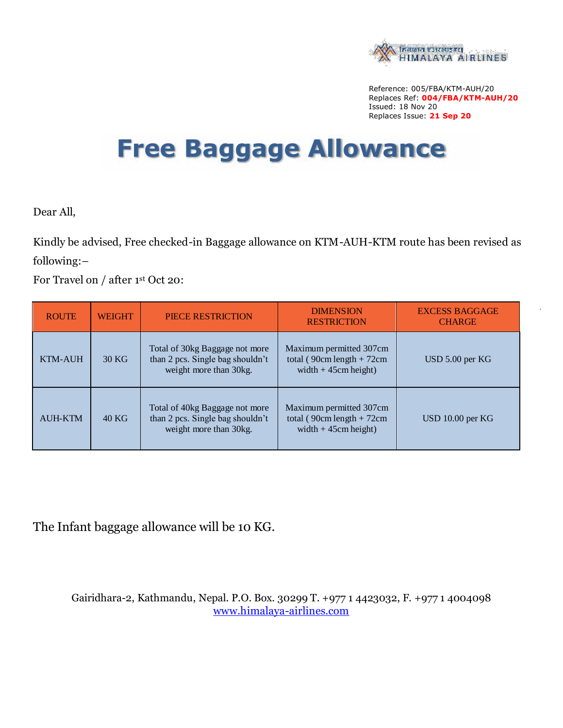

Reference: 005/FBA/KTM-AUH/20 Replaces Ref: **004/FBA/KTM-AUH/20** Issued: 18 Nov 20 Replaces Issue: **21 Sep 20**

## **Free Baggage Allowance**

Dear All,

Kindly be advised, Free checked-in Baggage allowance on KTM-AUH-KTM route has been revised as following:–

For Travel on / after 1<sup>st</sup> Oct 20:

| <b>ROUTE</b>   | <b>WEIGHT</b> | <b>PIECE RESTRICTION</b>                                                                     | <b>DIMENSION</b><br><b>RESTRICTION</b>                                           | <b>EXCESS BAGGAGE</b><br><b>CHARGE</b> |
|----------------|---------------|----------------------------------------------------------------------------------------------|----------------------------------------------------------------------------------|----------------------------------------|
| <b>KTM-AUH</b> | 30 KG         | Total of 30kg Baggage not more<br>than 2 pcs. Single bag shouldn't<br>weight more than 30kg. | Maximum permitted 307cm<br>total (90cm length + $72cm$<br>width $+45$ cm height) | USD 5.00 per KG                        |
| <b>AUH-KTM</b> | $40$ KG       | Total of 40kg Baggage not more<br>than 2 pcs. Single bag shouldn't<br>weight more than 30kg. | Maximum permitted 307cm<br>total (90cm length + $72cm$<br>width $+45$ cm height) | USD 10.00 per KG                       |

The Infant baggage allowance will be 10 KG.

Gairidhara-2, Kathmandu, Nepal. P.O. Box. 30299 T. +977 1 4423032, F. +977 1 4004098 www.himalaya-airlines.com